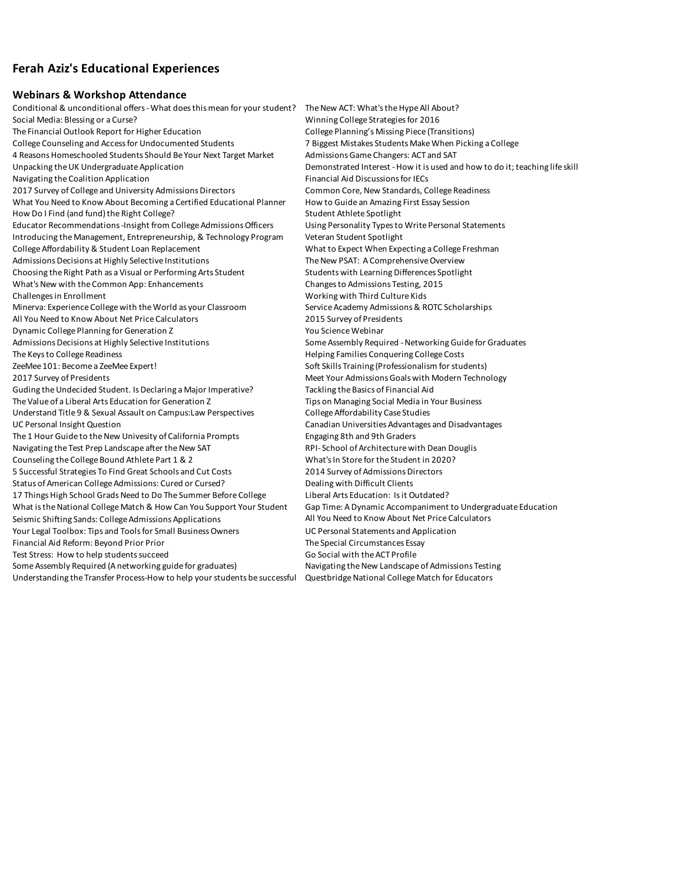# **Ferah Aziz's Educational Experiences**

### **Webinars & Workshop Attendance**

Conditional & unconditional offers - What does this mean for your student? The New ACT: What's the Hype All About? Social Media: Blessing or a Curse? Winning College Strategies for 2016 The Financial Outlook Report for Higher Education College Planning's Missing Piece (Transitions) College Counseling and Access for Undocumented Students 7 Biggest Mistakes Students Make When Picking a College 4 Reasons Homeschooled Students Should Be Your Next Target Market Admissions Game Changers: ACT and SAT Unpacking the UK Undergraduate Application Demonstrated Interest - How it is used and how to do it; teaching life skill Navigating the Coalition Application Financial Aid Discussions for IECs 2017 Survey of College and University Admissions Directors Common Core, New Standards, College Readiness What You Need to Know About Becoming a Certified Educational Planner How to Guide an Amazing First Essay Session How Do I Find (and fund) the Right College? Student Athlete Spotlight Student Athlete Spotlight Educator Recommendations -Insight from College Admissions Officers Using Personality Types to Write Personal Statements Introducing the Management, Entrepreneurship, & Technology Program Veteran Student Spotlight College Affordability & Student Loan Replacement What to Expect When Expecting a College Freshman Admissions Decisions at Highly Selective Institutions The New PSAT: A Comprehensive Overview Choosing the Right Path as a Visual or Performing Arts Student Students with Learning Differences Spotlight What's New with the Common App: Enhancements Changes to Admissions Testing, 2015 Challenges in Enrollment Working with Third Culture Kids Minerva: Experience College with the World as your Classroom Service Academy Admissions & ROTC Scholarships All You Need to Know About Net Price Calculators 2015 Survey of Presidents Dynamic College Planning for Generation Z Theorem 2 You Science Webinar Admissions Decisions at Highly Selective Institutions Some Assembly Required - Networking Guide for Graduates The Keys to College Readiness **Helping Families Conquering College Costs** Helping Families Conquering College Costs ZeeMee 101: Become a ZeeMee Expert! Soft Skills Training (Professionalism for students) 2017 Survey of Presidents **Meet Your Admissions Goals with Modern Technology** Meet Your Admissions Goals with Modern Technology Guding the Undecided Student. Is Declaring a Major Imperative? Tackling the Basics of Financial Aid The Value of a Liberal Arts Education for Generation Z Tips on Managing Social Media in Your Business Understand Title 9 & Sexual Assault on Campus: Law Perspectives College Affordability Case Studies UC Personal Insight Question Canadian Universities Advantages and Disadvantages The 1 Hour Guide to the New Univesity of California Prompts Engaging 8th and 9th Graders Navigating the Test Prep Landscape after the New SAT RPI- School of Architecture with Dean Douglis Counseling the College Bound Athlete Part 1 & 2 What's In Store for the Student in 2020? 5 Successful Strategies To Find Great Schools and Cut Costs 2014 Survey of Admissions Directors Status of American College Admissions: Cured or Cursed? Dealing with Difficult Clients 17 Things High School Grads Need to Do The Summer Before College Liberal Arts Education: Is it Outdated? What is the National College Match & How Can You Support Your Student Gap Time: A Dynamic Accompaniment to Undergraduate Education Seismic Shifting Sands: College Admissions Applications All You Need to Know About Net Price Calculators Your Legal Toolbox: Tips and Tools for Small Business Owners UC Personal Statements and Application Financial Aid Reform: Beyond Prior Prior The Special Circumstances Essay Test Stress: How to help students succeed Go Social with the ACT Profile Some Assembly Required (A networking guide for graduates) Navigating the New Landscape of Admissions Testing Understanding the Transfer Process-How to help your students be successful Questbridge National College Match for Educators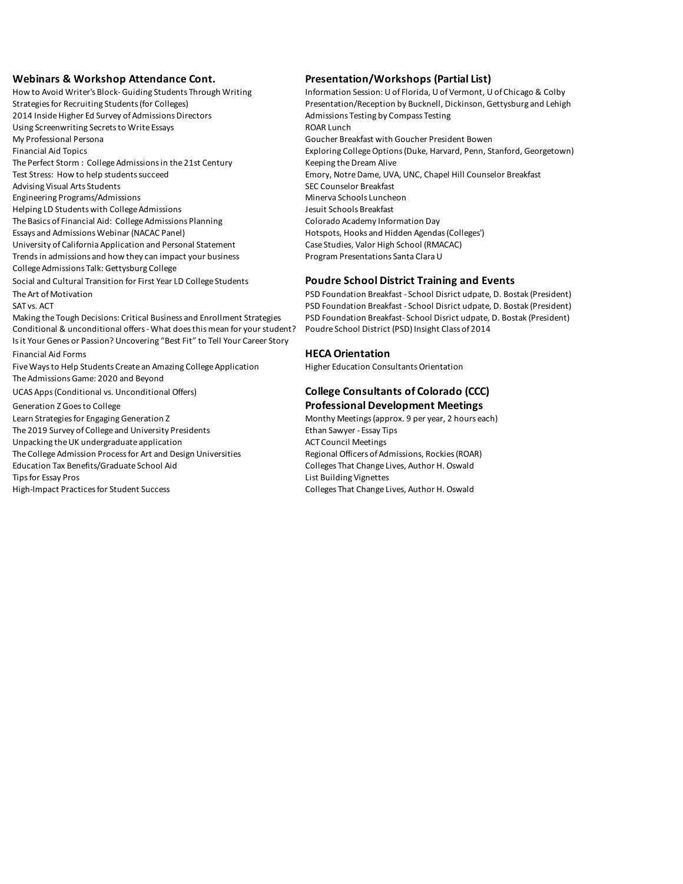**Webinars & Workshop Attendance Cont. Presentation/Workshops (Partial List)**<br>How to Avoid Writer's Block-Guiding Students Through Writing linformation Session: U of Florida, U of Vermont, U 2014 Inside Higher Ed Survey of Admissions Directors **Admissions Testing by Compass Testing** by Compass Testing Using Screenwriting Secrets to Write Essays **Example 20 and SCS** ROAR Lunch My Professional Persona Goucher Breakfast with Goucher President Bowen The Perfect Storm : College Admissions in the 21st Century Keeping the Dream Alive Test Stress: How to help students succeed entitled and Emory, Notre Dame, UVA, UNC, Chapel Hill Counselor Breakfast Advising Visual Arts Students Section Students SEC Counselor Breakfast Engineering Programs/Admissions Minerva Schools Luncheon Helping LD Students with College Admissions and Marking of the Messing Lesuit Schools Breakfast The Basics of Financial Aid: College Admissions Planning Colorado Academy Information Day Essays and Admissions Webinar (NACAC Panel) **Hotspots, Hooks and Hidden Agendas (Colleges'**) University of California Application and Personal Statement Case Studies, Valor High School (RMACAC) Trends in admissions and how they can impact your business Program Presentations Santa Clara U College Admissions Talk: Gettysburg College Social and Cultural Transition for First Year LD College Students **Poudre School District Training and Events** The Art of Motivation **PSD Foundation Breakfast - School Disrict udpate, D. Bostak (President)** PSD Foundation Breakfast - School Disrict udpate, D. Bostak (President) SAT vs. ACT **PSD Foundation Breakfast - School Disrict udpate, D. Bostak (President)** PSD Foundation Breakfast - School Disrict udpate, D. Bostak (President) Making the Tough Decisions: Critical Business and Enrollment Strategies PSD Foundation Breakfast- School Disrict udpate, D. Bostak (President) Conditional & unconditional offers - What does this mean for your student? Poudre School District (PSD) Insight Class of 2014 Is it Your Genes or Passion? Uncovering "Best Fit" to Tell Your Career Story Financial Aid Forms **HECA Orientation** Five Ways to Help Students Create an Amazing College Application Higher Education Consultants Orientation The Admissions Game: 2020 and Beyond UCAS Apps (Conditional vs. Unconditional Offers) **College Consultants of Colorado (CCC)**  Generation Z Goes to College **Professional Development Meetings** Learn Strategies for Engaging Generation Z **Monthy Meetings (approx. 9 per year, 2 hours each)** The 2019 Survey of College and University Presidents Ethan Sawyer - Essay Tips Unpacking the UK undergraduate application and act Council Meetings The College Admission Process for Art and Design Universities Regional Officers of Admissions, Rockies (ROAR)

Information Session: U of Florida, U of Vermont, U of Chicago & Colby Strategies for Recruiting Students (for Colleges) Presentation/Reception by Bucknell, Dickinson, Gettysburg and Lehigh Financial Aid Topics Exploring College Options (Duke, Harvard, Penn, Stanford, Georgetown)

Education Tax Benefits/Graduate School Aid Colleges That Change Lives, Author H. Oswald Tips for Essay Pros **List Building Vignettes** High-Impact Practices for Student Success Colleges That Change Lives, Author H. Oswald